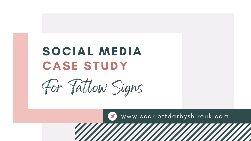## SOCIAL MEDIA CASE STUDY



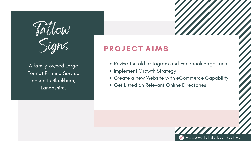



- 
- Revive the old Instagram and Facebook Pages and • Implement Growth Strategy
- Create a new Website with eCommerce Capability
- **Get Listed on Relevant Online Directories**



A family-owned Large Format Printing Service based in Blackburn, Lancashire.

## P R O J E C T AIMS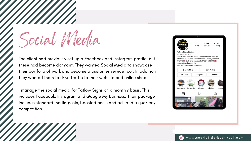Social Media

The client had previously set up a Facebook and Instagram profile, but these had become dormant. They wanted Social Media to showcase their portfolio of work and become a customer service tool. In addition they wanted them to drive traffic to their website and online shop.

manage the social media for Tatlow Signs on a monthly basis. This includes Facebook, Instagram and Google My Business. Their package includes standard media posts, boosted posts and ads and a quarterly competition.



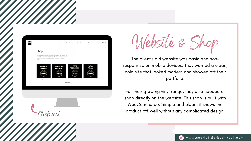

The client' s old website was basic and nonresponsive on mobile devices. They wanted a clean, bold site that looked modern and showed off their portfolio.

For their growing vinyl range, they also needed a shop directly on the website. This shop is built with WooCommerce. Simple and clean, it shows the product off well without any complicated design.